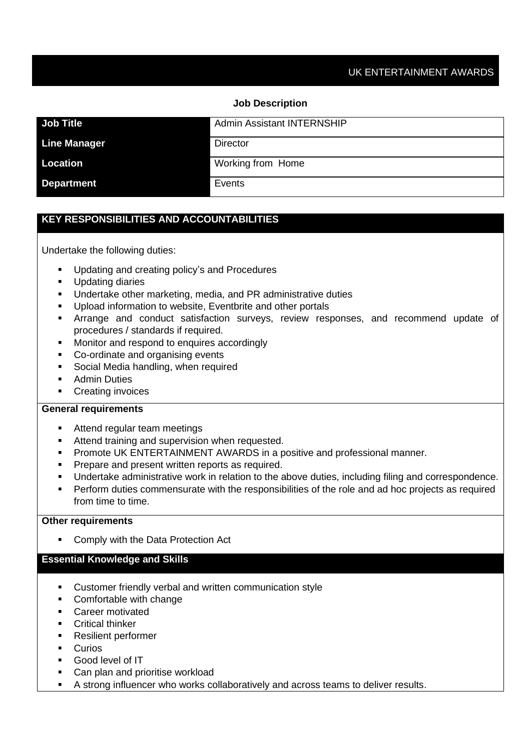#### **Job Description**

| <b>Job Title</b>    | <b>Admin Assistant INTERNSHIP</b> |
|---------------------|-----------------------------------|
| <b>Line Manager</b> | <b>Director</b>                   |
| Location            | <b>Working from Home</b>          |
| <b>Department</b>   | Events                            |

## **KEY RESPONSIBILITIES AND ACCOUNTABILITIES**

Undertake the following duties:

- Updating and creating policy's and Procedures
- Updating diaries
- Undertake other marketing, media, and PR administrative duties
- Upload information to website, Eventbrite and other portals
- **EXT** Arrange and conduct satisfaction surveys, review responses, and recommend update of procedures / standards if required.
- Monitor and respond to enquires accordingly
- Co-ordinate and organising events
- Social Media handling, when required
- Admin Duties
- Creating invoices

## **General requirements**

- Attend regular team meetings
- **EXECTE Attend training and supervision when requested.**
- **Promote UK ENTERTAINMENT AWARDS in a positive and professional manner.**
- **•** Prepare and present written reports as required.
- Undertake administrative work in relation to the above duties, including filing and correspondence.
- **•** Perform duties commensurate with the responsibilities of the role and ad hoc projects as required from time to time.

#### **Other requirements**

Comply with the Data Protection Act

#### **Essential Knowledge and Skills**

- Customer friendly verbal and written communication style
- Comfortable with change
- Career motivated
- Critical thinker
- Resilient performer
- Curios
- Good level of IT
- Can plan and prioritise workload
- A strong influencer who works collaboratively and across teams to deliver results.